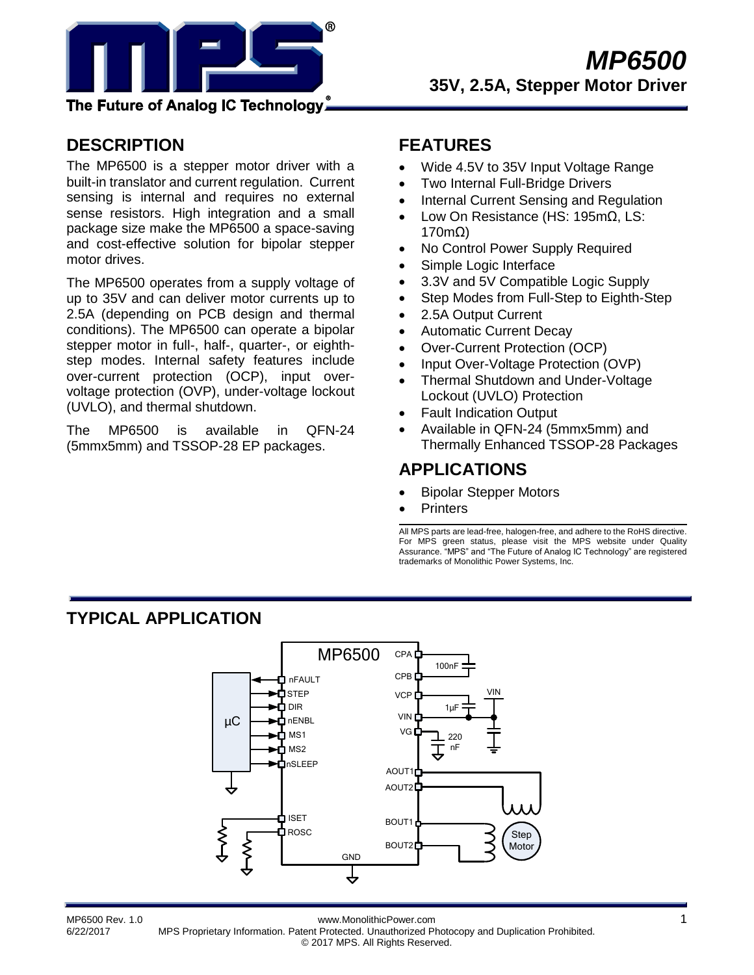

The Future of Analog IC Technology.

## **DESCRIPTION**

The MP6500 is a stepper motor driver with a built-in translator and current regulation. Current sensing is internal and requires no external sense resistors. High integration and a small package size make the MP6500 a space-saving and cost-effective solution for bipolar stepper motor drives.

The MP6500 operates from a supply voltage of up to 35V and can deliver motor currents up to 2.5A (depending on PCB design and thermal conditions). The MP6500 can operate a bipolar stepper motor in full-, half-, quarter-, or eighthstep modes. Internal safety features include over-current protection (OCP), input overvoltage protection (OVP), under-voltage lockout (UVLO), and thermal shutdown.

The MP6500 is available in QFN-24 (5mmx5mm) and TSSOP-28 EP packages.

## **FEATURES**

- Wide 4.5V to 35V Input Voltage Range
- Two Internal Full-Bridge Drivers
- Internal Current Sensing and Regulation
- Low On Resistance (HS: 195mΩ, LS: 170mΩ)
- No Control Power Supply Required
- Simple Logic Interface
- 3.3V and 5V Compatible Logic Supply
- Step Modes from Full-Step to Eighth-Step
- 2.5A Output Current
- Automatic Current Decay
- Over-Current Protection (OCP)
- Input Over-Voltage Protection (OVP)
- Thermal Shutdown and Under-Voltage Lockout (UVLO) Protection
- Fault Indication Output
- Available in QFN-24 (5mmx5mm) and Thermally Enhanced TSSOP-28 Packages

### **APPLICATIONS**

- Bipolar Stepper Motors
- **Printers**

All MPS parts are lead-free, halogen-free, and adhere to the RoHS directive. For MPS green status, please visit the MPS website under Quality Assurance. "MPS" and "The Future of Analog IC Technology" are registered trademarks of Monolithic Power Systems, Inc.

## **TYPICAL APPLICATION**



MP6500 Rev. 1.0 www.MonolithicPower.com 1 6/22/2017 MPS Proprietary Information. Patent Protected. Unauthorized Photocopy and Duplication Prohibited. © 2017 MPS. All Rights Reserved.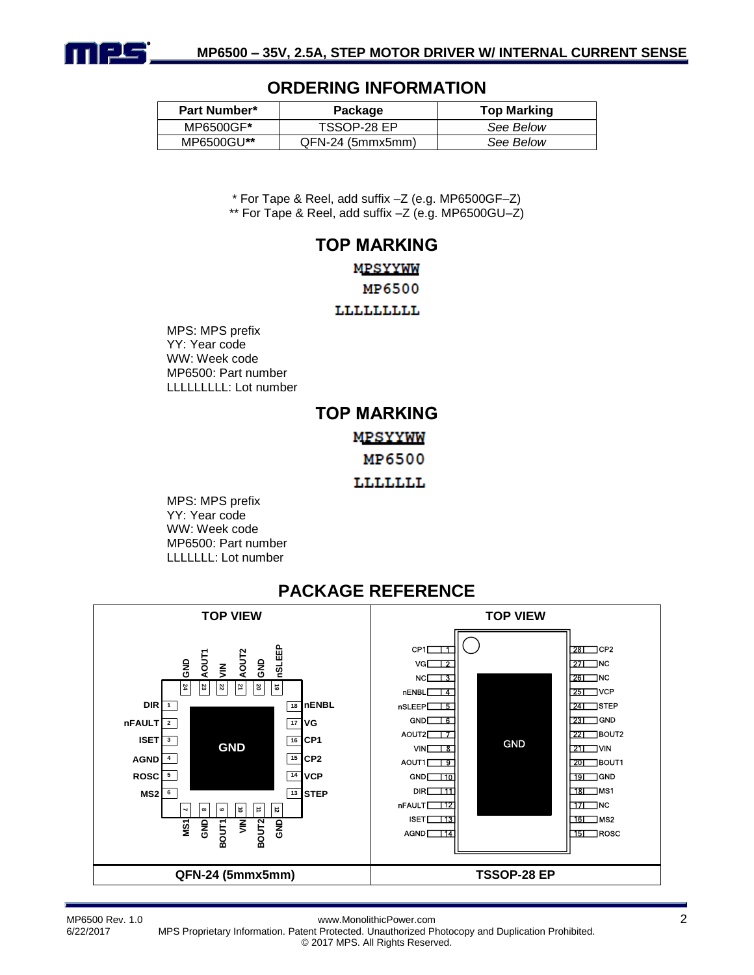

#### **ORDERING INFORMATION**

| <b>Part Number*</b> | Package          | <b>Top Marking</b> |
|---------------------|------------------|--------------------|
| MP6500GF*           | TSSOP-28 EP      | See Below          |
| MP6500GU**          | QFN-24 (5mmx5mm) | See Below          |

\* For Tape & Reel, add suffix –Z (e.g. MP6500GF–Z) \*\* For Tape & Reel, add suffix –Z (e.g. MP6500GU–Z)

#### **TOP MARKING**

#### **MPSYYWW**

MP6500

**TTTTTTTTT** 

MPS: MPS prefix YY: Year code WW: Week code MP6500: Part number LLLLLLLLL: Lot number

## **TOP MARKING** MPSYYWW MP6500 LLLLLLL

MPS: MPS prefix YY: Year code WW: Week code MP6500: Part number LLLLLLL: Lot number



## **PACKAGE REFERENCE**

MP6500 Rev. 1.0 www.MonolithicPower.com 2

6/22/2017 MPS Proprietary Information. Patent Protected. Unauthorized Photocopy and Duplication Prohibited. © 2017 MPS. All Rights Reserved.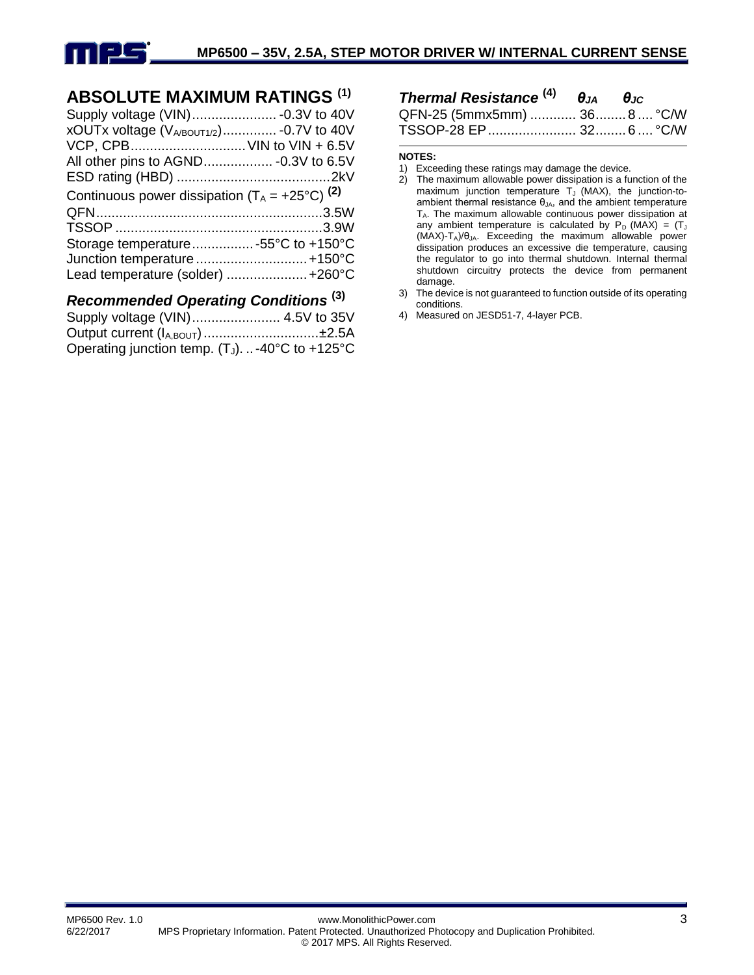

## **ABSOLUTE MAXIMUM RATINGS (1)**

| xOUTx voltage (VA/BOUT1/2) - 0.7V to 40V<br>VCP, CPB VIN to VIN + 6.5V                                   |
|----------------------------------------------------------------------------------------------------------|
| Continuous power dissipation $(T_A = +25^{\circ}C)^{(2)}$                                                |
|                                                                                                          |
| Storage temperature -55°C to +150°C<br>Junction temperature  +150°C<br>Lead temperature (solder)  +260°C |
|                                                                                                          |

#### *Recommended Operating Conditions* **(3)**

| Output current (I <sub>A,BOUT</sub> ) ±2.5A    |  |
|------------------------------------------------|--|
| Operating junction temp. (TJ). -40°C to +125°C |  |

| <b>Thermal Resistance</b> $^{(4)}$ $\theta_{JA}$ $\theta_{JC}$ |  |  |
|----------------------------------------------------------------|--|--|
| QFN-25 (5mmx5mm)  36 8  °C/W                                   |  |  |
| TSSOP-28 EP 32 6 °C/W                                          |  |  |

#### **NOTES:**

- 1) Exceeding these ratings may damage the device.
- 2) The maximum allowable power dissipation is a function of the maximum junction temperature  $T_J$  (MAX), the junction-toambient thermal resistance  $\theta_{JA}$ , and the ambient temperature  $T_A$ . The maximum allowable continuous power dissipation at any ambient temperature is calculated by  $P_D$  (MAX) = (T<sub>J</sub>  $(MAX)-T_A)/\theta_{JA}$ . Exceeding the maximum allowable power dissipation produces an excessive die temperature, causing the regulator to go into thermal shutdown. Internal thermal shutdown circuitry protects the device from permanent damage.
- 3) The device is not guaranteed to function outside of its operating conditions.
- 4) Measured on JESD51-7, 4-layer PCB.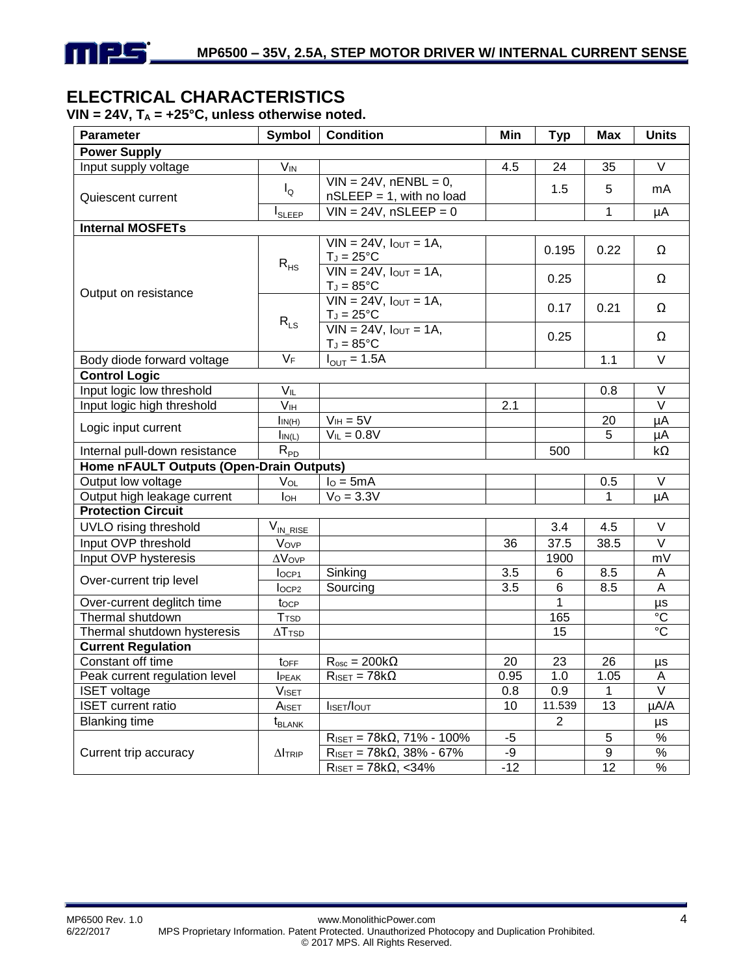

## **ELECTRICAL CHARACTERISTICS**

**VIN = 24V, T<sup>A</sup> = +25°C, unless otherwise noted.**

| <b>Parameter</b>                         | Symbol                    | <b>Condition</b>                                        | Min   | <b>Typ</b>     | <b>Max</b> | <b>Units</b>      |
|------------------------------------------|---------------------------|---------------------------------------------------------|-------|----------------|------------|-------------------|
| <b>Power Supply</b>                      |                           |                                                         |       |                |            |                   |
| Input supply voltage                     | <b>V<sub>IN</sub></b>     |                                                         | 4.5   | 24             | 35         | V                 |
| Quiescent current                        | $I_{\mathsf{Q}}$          | $VIN = 24V$ , nENBL = 0,<br>$nSLEEP = 1$ , with no load |       | 1.5            | 5          | mA                |
|                                          | $I_{\text{SLEEP}}$        | $VIN = 24V$ , $nSLEEP = 0$                              |       |                | 1          | μA                |
| <b>Internal MOSFETs</b>                  |                           |                                                         |       |                |            |                   |
|                                          |                           | $VIN = 24V$ , $I_{OUT} = 1A$ ,<br>$T_J = 25$ °C         |       | 0.195          | 0.22       | Ω                 |
|                                          | $R_{HS}$                  | $VIN = 24V$ , $I_{OUT} = 1A$ ,<br>$T_J = 85^{\circ}C$   |       | 0.25           |            | Ω                 |
| Output on resistance                     |                           | $VIN = 24V$ , $I_{OUT} = 1A$ ,<br>$T_J = 25$ °C         |       | 0.17           | 0.21       | Ω                 |
|                                          | $R_{LS}$                  | $VIN = 24V$ , $I_{OUT} = 1A$ ,<br>$T_J = 85$ °C         |       | 0.25           |            | Ω                 |
| Body diode forward voltage               | $V_F$                     | $I_{\text{OUT}} = 1.5A$                                 |       |                | 1.1        | $\vee$            |
| <b>Control Logic</b>                     |                           |                                                         |       |                |            |                   |
| Input logic low threshold                | $V_{\mathsf{IL}}$         |                                                         |       |                | 0.8        | V                 |
| Input logic high threshold               | V <sub>IH</sub>           |                                                         | 2.1   |                |            | $\overline{\vee}$ |
|                                          | $I_{IN(H)}$               | $V_{IH} = 5V$                                           |       |                | 20         | μA                |
| Logic input current                      | $I_{IN(L)}$               | $V_{IL} = 0.8V$                                         |       |                | 5          | μA                |
| Internal pull-down resistance            | $R_{PD}$                  |                                                         |       | 500            |            | kΩ                |
| Home nFAULT Outputs (Open-Drain Outputs) |                           |                                                         |       |                |            |                   |
| Output low voltage                       | VOL                       | $IO = 5mA$                                              |       |                | 0.5        | V                 |
| Output high leakage current              | Іон                       | $V_0 = 3.3V$                                            |       |                | 1          | μA                |
| <b>Protection Circuit</b>                |                           |                                                         |       |                |            |                   |
| UVLO rising threshold                    | $V_{IN\_RISE}$            |                                                         |       | 3.4            | 4.5        | $\vee$            |
| Input OVP threshold                      | Vovp                      |                                                         | 36    | 37.5           | 38.5       | $\overline{\vee}$ |
| Input OVP hysteresis                     | $\Delta V$ OVP            |                                                         |       | 1900           |            | mV                |
| Over-current trip level                  | loc <sub>P1</sub>         | Sinking                                                 | 3.5   | 6              | 8.5        | A                 |
|                                          | loc <sub>P2</sub>         | Sourcing                                                | 3.5   | $\overline{6}$ | 8.5        | $\overline{A}$    |
| Over-current deglitch time               | tocp                      |                                                         |       | 1              |            | μs                |
| Thermal shutdown                         | <b>T</b> <sub>TSD</sub>   |                                                         |       | 165            |            | $\overline{C}$    |
| Thermal shutdown hysteresis              | $\Delta$ T <sub>TSD</sub> |                                                         |       | 15             |            | $\overline{C}$    |
| <b>Current Regulation</b>                |                           |                                                         |       |                |            |                   |
| Constant off time                        | toff                      | $R_{\rm osc} = 200k\Omega$                              | 20    | 23             | 26         | μs                |
| Peak current regulation level            | <b>I</b> PEAK             | $R_{\text{ISET}} = 78k\Omega$                           | 0.95  | 1.0            | 1.05       | A                 |
| <b>ISET</b> voltage                      | V <sub>ISET</sub>         |                                                         | 0.8   | 0.9            | 1          | $\overline{\vee}$ |
| <b>ISET</b> current ratio                | AISET                     | <b>I</b> ISET/IOUT                                      | 10    | 11.539         | 13         | µA/A              |
| <b>Blanking time</b>                     | t <sub>blank</sub>        |                                                         |       | $\overline{2}$ |            | μs                |
|                                          |                           | $R_{\text{ISET}} = 78k\Omega$ , 71% - 100%              | $-5$  |                | 5          | $\%$              |
| Current trip accuracy                    | $\Delta I$ TRIP           | $R_{\text{ISET}} = 78k\Omega$ , 38% - 67%               | -9    |                | 9          | %                 |
|                                          |                           | $\overline{R_{\text{ISET}}}$ = 78k $\Omega$ , <34%      | $-12$ |                | 12         | $\%$              |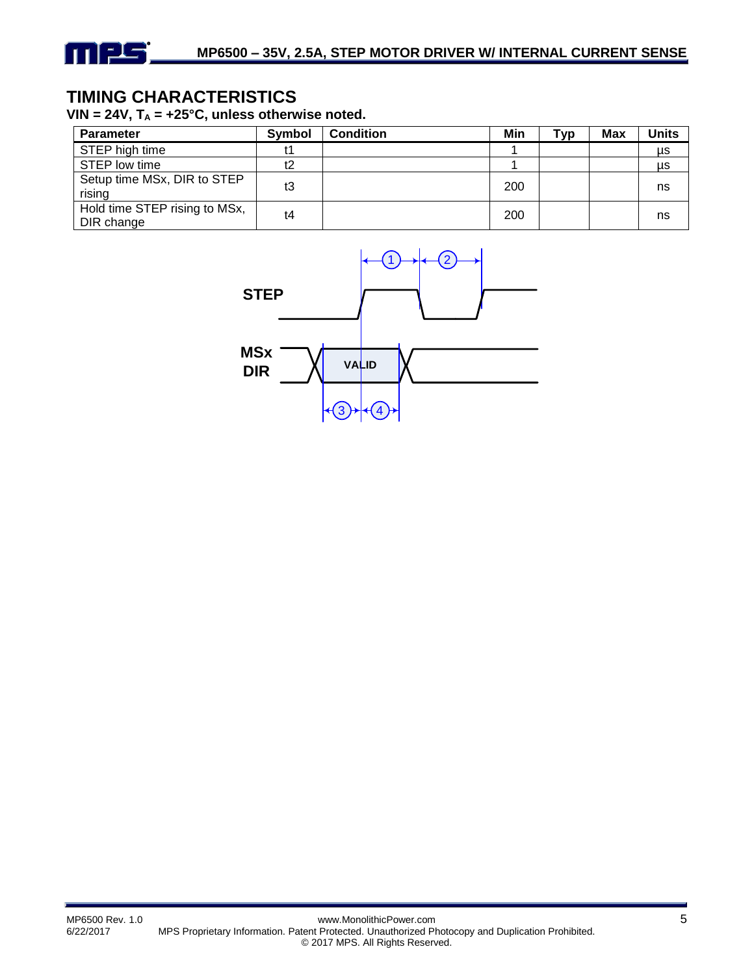

## **TIMING CHARACTERISTICS**

VIN =  $24V$ ,  $T_A$  =  $+25^{\circ}C$ , unless otherwise noted.

| <b>Parameter</b>                            | Symbol | <b>Condition</b> | Min | Typ | Max | Units |
|---------------------------------------------|--------|------------------|-----|-----|-----|-------|
| STEP high time                              | t1     |                  |     |     |     | μs    |
| STEP low time                               | t2     |                  |     |     |     | μs    |
| Setup time MSx, DIR to STEP<br>rising       | t3     |                  | 200 |     |     | ns    |
| Hold time STEP rising to MSx,<br>DIR change | t4     |                  | 200 |     |     | ns    |

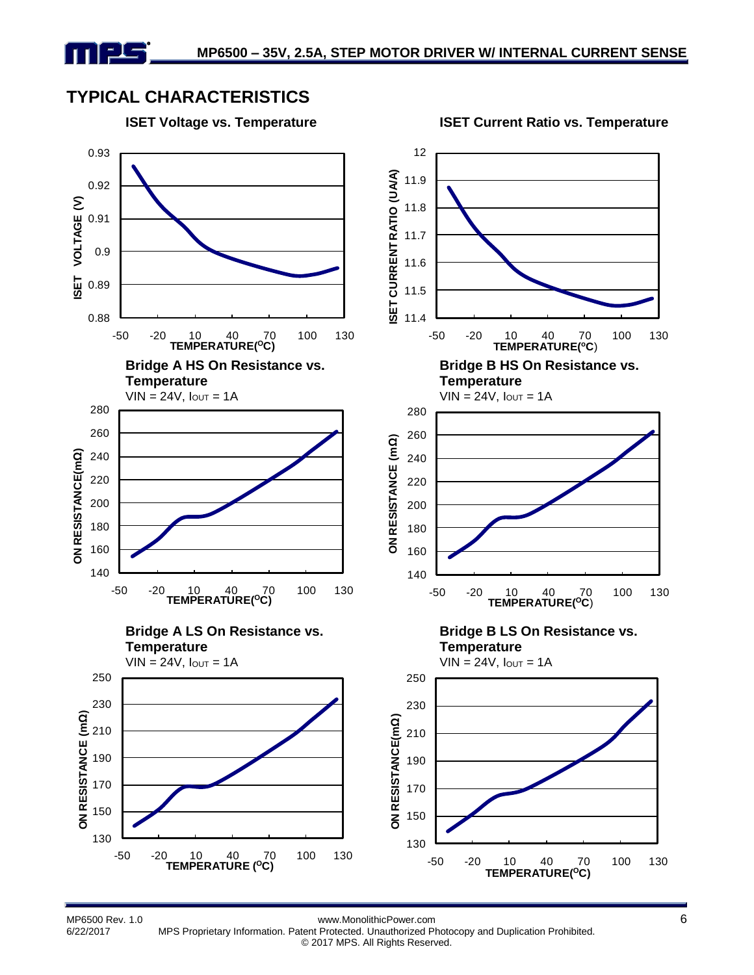## **TYPICAL CHARACTERISTICS**





MP6500 Rev. 1.0 www.MonolithicPower.com 6

6/22/2017 MPS Proprietary Information. Patent Protected. Unauthorized Photocopy and Duplication Prohibited. © 2017 MPS. All Rights Reserved.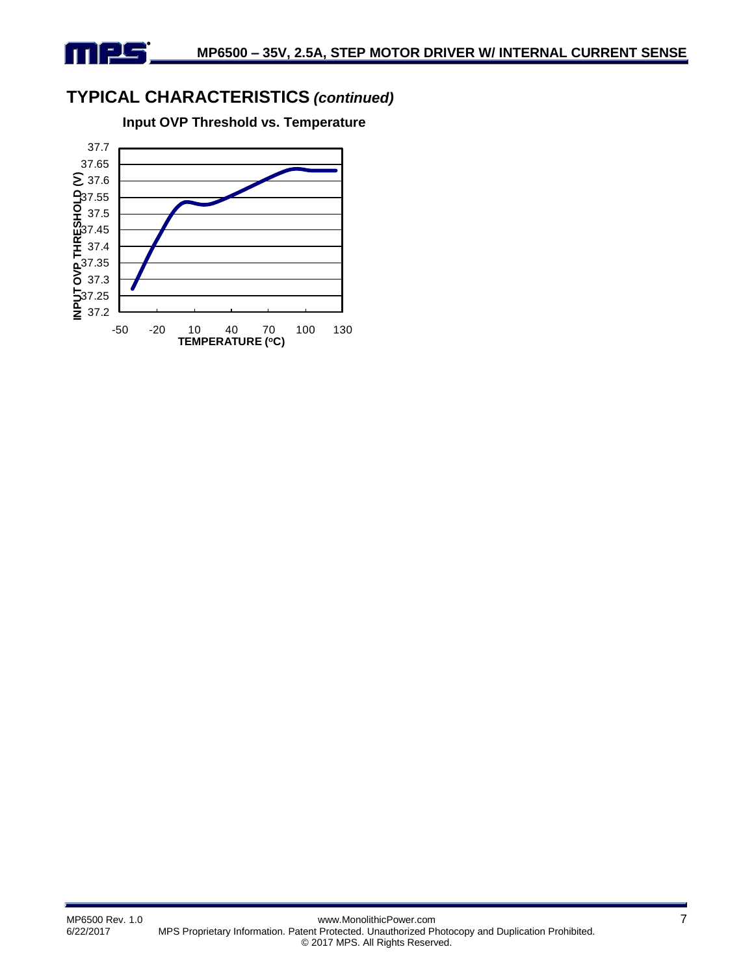## **TYPICAL CHARACTERISTICS** *(continued)*

mpg

**Input OVP Threshold vs. Temperature**

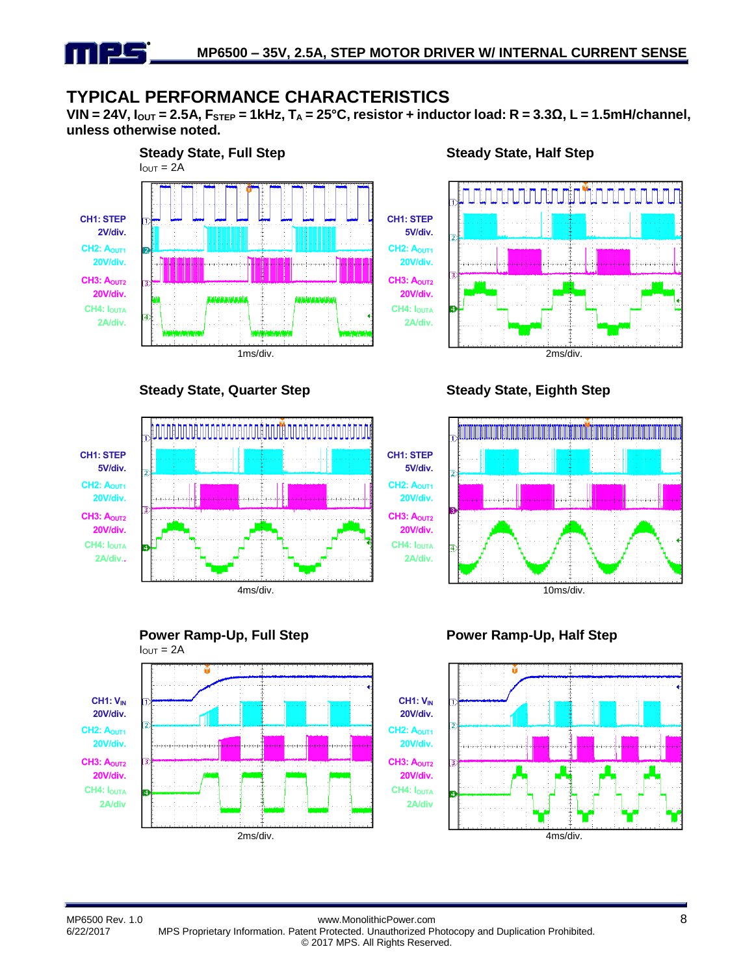## **TYPICAL PERFORMANCE CHARACTERISTICS**

**VIN = 24V, IOUT = 2.5A, FSTEP = 1kHz, T<sup>A</sup> = 25°C, resistor + inductor load: R = 3.3Ω, L = 1.5mH/channel, unless otherwise noted.**



**Steady State, Quarter Step Steady State, Eighth Step**



#### **Steady State, Half Step**









#### **Power Ramp-Up, Half Step**



MP6500 Rev. 1.0 www.MonolithicPower.com 8 6/22/2017 MPS Proprietary Information. Patent Protected. Unauthorized Photocopy and Duplication Prohibited. © 2017 MPS. All Rights Reserved.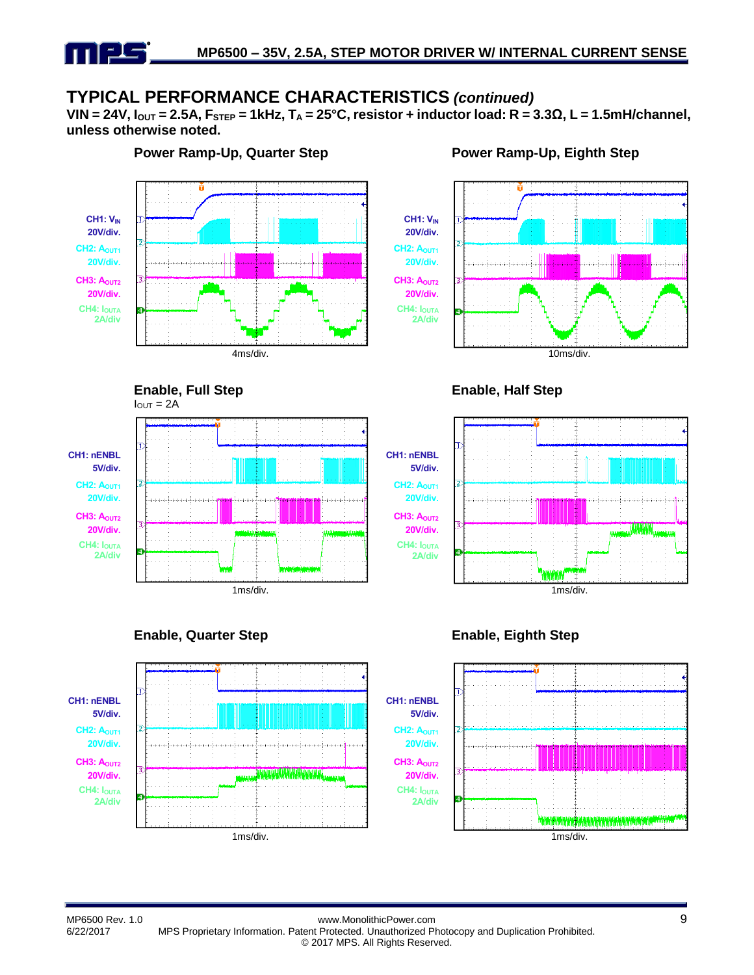## **TYPICAL PERFORMANCE CHARACTERISTICS** *(continued)*

**VIN = 24V, IOUT = 2.5A, FSTEP = 1kHz, T<sup>A</sup> = 25°C, resistor + inductor load: R = 3.3Ω, L = 1.5mH/channel, unless otherwise noted.**



#### **Power Ramp-Up, Quarter Step Power Ramp-Up, Eighth Step**









**Enable, Full Step**

 $I_{\text{OUT}} = 2A$ 

**CH1: nENBL 5V/div. CH2: A**<sub>OUT1</sub> **20V/div. CH3: A**<sub>OUT2</sub> **20V/div. CH4: IOUTA 2A/div**



#### **Enable, Quarter Step Enable, Eighth Step**

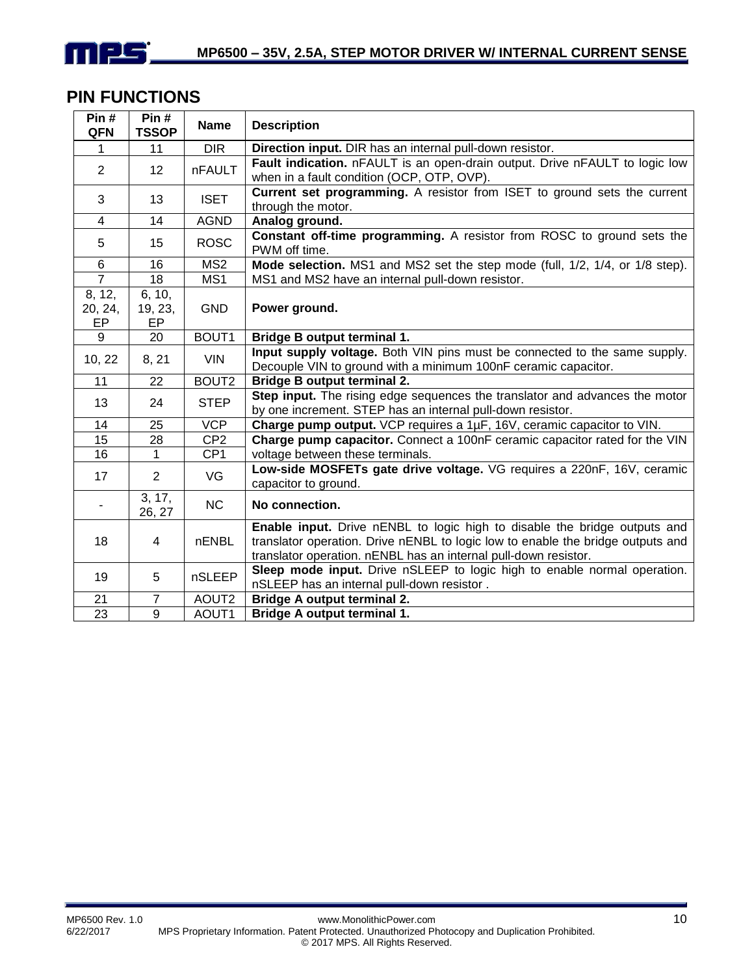

## **PIN FUNCTIONS**

| Pin#<br>QFN             | Pin#<br><b>TSSOP</b>    | <b>Name</b>       | <b>Description</b>                                                                                                                                                                                                              |
|-------------------------|-------------------------|-------------------|---------------------------------------------------------------------------------------------------------------------------------------------------------------------------------------------------------------------------------|
| $\mathbf{1}$            | 11                      | <b>DIR</b>        | Direction input. DIR has an internal pull-down resistor.                                                                                                                                                                        |
| 2                       | 12                      | <b>nFAULT</b>     | Fault indication. nFAULT is an open-drain output. Drive nFAULT to logic low<br>when in a fault condition (OCP, OTP, OVP).                                                                                                       |
| 3                       | 13                      | <b>ISET</b>       | Current set programming. A resistor from ISET to ground sets the current<br>through the motor.                                                                                                                                  |
| 4                       | 14                      | <b>AGND</b>       | Analog ground.                                                                                                                                                                                                                  |
| 5                       | 15                      | <b>ROSC</b>       | Constant off-time programming. A resistor from ROSC to ground sets the<br>PWM off time.                                                                                                                                         |
| 6                       | 16                      | MS <sub>2</sub>   | Mode selection. MS1 and MS2 set the step mode (full, 1/2, 1/4, or 1/8 step).                                                                                                                                                    |
| $\overline{7}$          | 18                      | MS1               | MS1 and MS2 have an internal pull-down resistor.                                                                                                                                                                                |
| 8, 12,<br>20, 24,<br>EP | 6, 10,<br>19, 23,<br>EP | <b>GND</b>        | Power ground.                                                                                                                                                                                                                   |
| 9                       | 20                      | BOUT1             | <b>Bridge B output terminal 1.</b>                                                                                                                                                                                              |
| 10, 22                  | 8, 21                   | <b>VIN</b>        | Input supply voltage. Both VIN pins must be connected to the same supply.<br>Decouple VIN to ground with a minimum 100nF ceramic capacitor.                                                                                     |
| 11                      | 22                      | BOUT <sub>2</sub> | <b>Bridge B output terminal 2.</b>                                                                                                                                                                                              |
| 13                      | 24                      | <b>STEP</b>       | Step input. The rising edge sequences the translator and advances the motor<br>by one increment. STEP has an internal pull-down resistor.                                                                                       |
| 14                      | 25                      | <b>VCP</b>        | Charge pump output. VCP requires a 1µF, 16V, ceramic capacitor to VIN.                                                                                                                                                          |
| 15                      | 28                      | CP <sub>2</sub>   | Charge pump capacitor. Connect a 100nF ceramic capacitor rated for the VIN                                                                                                                                                      |
| 16                      | $\mathbf{1}$            | CP <sub>1</sub>   | voltage between these terminals.                                                                                                                                                                                                |
| 17                      | $\overline{2}$          | VG                | Low-side MOSFETs gate drive voltage. VG requires a 220nF, 16V, ceramic<br>capacitor to ground.                                                                                                                                  |
|                         | 3, 17,<br>26, 27        | <b>NC</b>         | No connection.                                                                                                                                                                                                                  |
| 18                      | 4                       | nENBL             | Enable input. Drive nENBL to logic high to disable the bridge outputs and<br>translator operation. Drive nENBL to logic low to enable the bridge outputs and<br>translator operation. nENBL has an internal pull-down resistor. |
| 19                      | 5                       | nSLEEP            | Sleep mode input. Drive nSLEEP to logic high to enable normal operation.<br>nSLEEP has an internal pull-down resistor.                                                                                                          |
| 21                      | $\overline{7}$          | AOUT2             | <b>Bridge A output terminal 2.</b>                                                                                                                                                                                              |
| $\overline{23}$         | 9                       | AOUT1             | <b>Bridge A output terminal 1.</b>                                                                                                                                                                                              |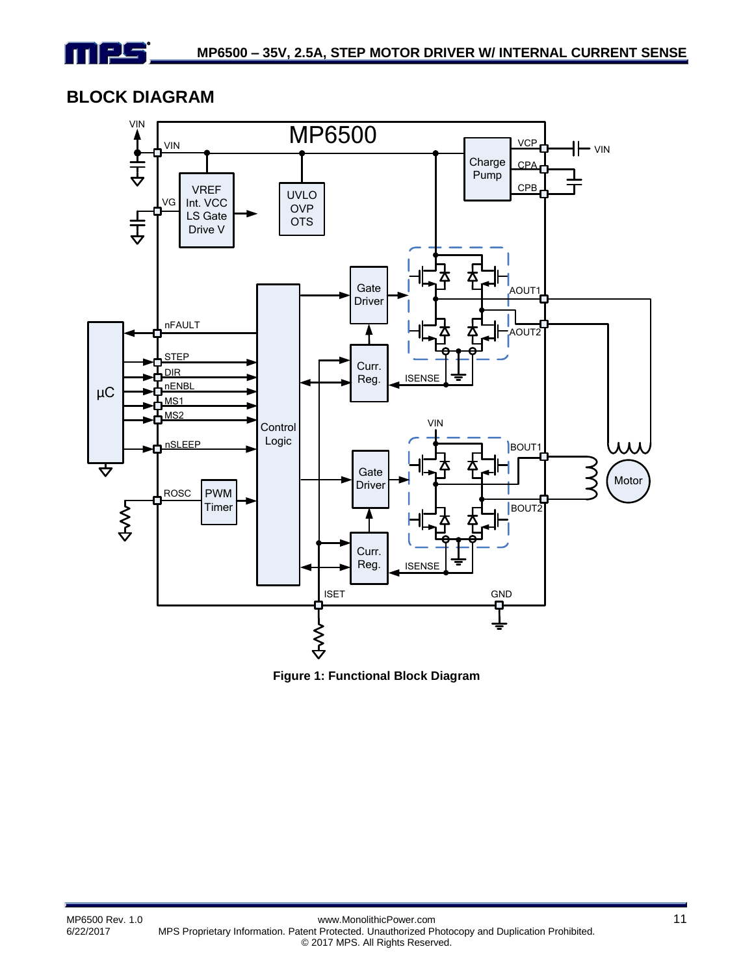

## **BLOCK DIAGRAM**



**Figure 1: Functional Block Diagram**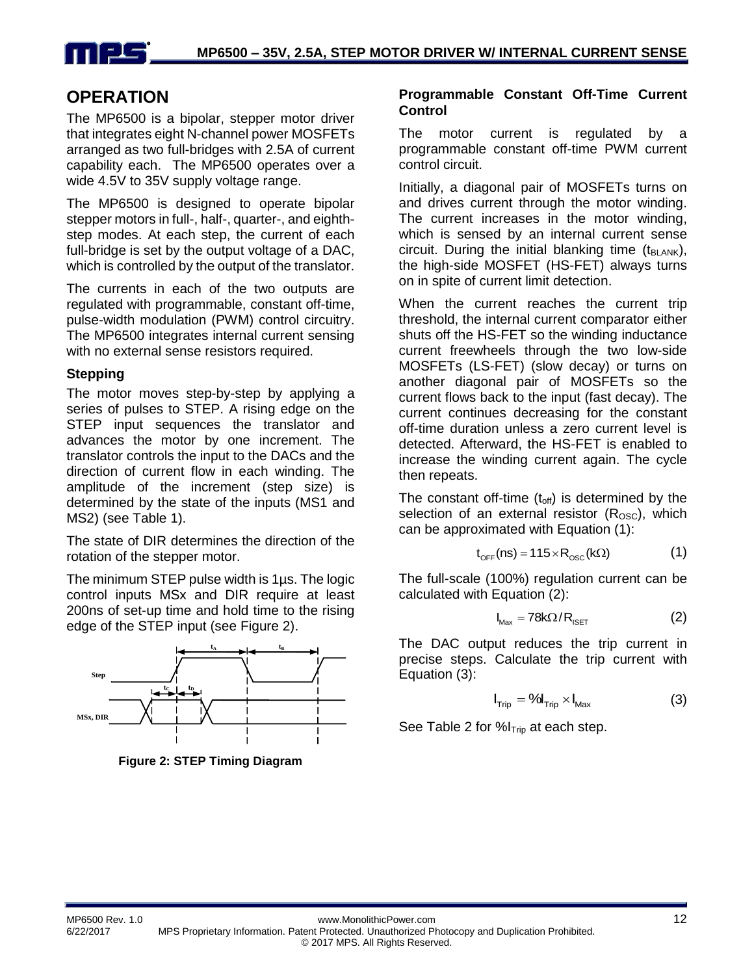

## **OPERATION**

The MP6500 is a bipolar, stepper motor driver that integrates eight N-channel power MOSFETs arranged as two full-bridges with 2.5A of current capability each. The MP6500 operates over a wide 4.5V to 35V supply voltage range.

The MP6500 is designed to operate bipolar stepper motors in full-, half-, quarter-, and eighthstep modes. At each step, the current of each full-bridge is set by the output voltage of a DAC, which is controlled by the output of the translator.

The currents in each of the two outputs are regulated with programmable, constant off-time, pulse-width modulation (PWM) control circuitry. The MP6500 integrates internal current sensing with no external sense resistors required.

#### **Stepping**

The motor moves step-by-step by applying a series of pulses to STEP. A rising edge on the STEP input sequences the translator and advances the motor by one increment. The translator controls the input to the DACs and the direction of current flow in each winding. The amplitude of the increment (step size) is determined by the state of the inputs (MS1 and MS2) (see Table 1).

The state of DIR determines the direction of the rotation of the stepper motor.

The minimum STEP pulse width is 1µs. The logic control inputs MSx and DIR require at least 200ns of set-up time and hold time to the rising edge of the STEP input (see Figure 2).



**Figure 2: STEP Timing Diagram**

#### **Programmable Constant Off-Time Current Control**

The motor current is regulated by a programmable constant off-time PWM current control circuit.

Initially, a diagonal pair of MOSFETs turns on and drives current through the motor winding. The current increases in the motor winding, which is sensed by an internal current sense circuit. During the initial blanking time  $(t_{BLANK})$ , the high-side MOSFET (HS-FET) always turns on in spite of current limit detection.

When the current reaches the current trip threshold, the internal current comparator either shuts off the HS-FET so the winding inductance current freewheels through the two low-side MOSFETs (LS-FET) (slow decay) or turns on another diagonal pair of MOSFETs so the current flows back to the input (fast decay). The current continues decreasing for the constant off-time duration unless a zero current level is detected. Afterward, the HS-FET is enabled to increase the winding current again. The cycle then repeats.

The constant off-time  $(t_{off})$  is determined by the selection of an external resistor  $(R<sub>osc</sub>)$ , which can be approximated with Equation (1):

$$
t_{\text{OFF}}(ns) = 115 \times R_{\text{OSC}}(k\Omega)
$$
 (1)

The full-scale (100%) regulation current can be calculated with Equation (2):

$$
I_{\text{Max}} = 78k\Omega/R_{\text{ISET}} \tag{2}
$$

The DAC output reduces the trip current in precise steps. Calculate the trip current with Equation (3):

$$
I_{\text{trip}} = \text{Vol}_{\text{trip}} \times I_{\text{Max}} \tag{3}
$$

See Table 2 for  $\%$ I<sub>Trip</sub> at each step.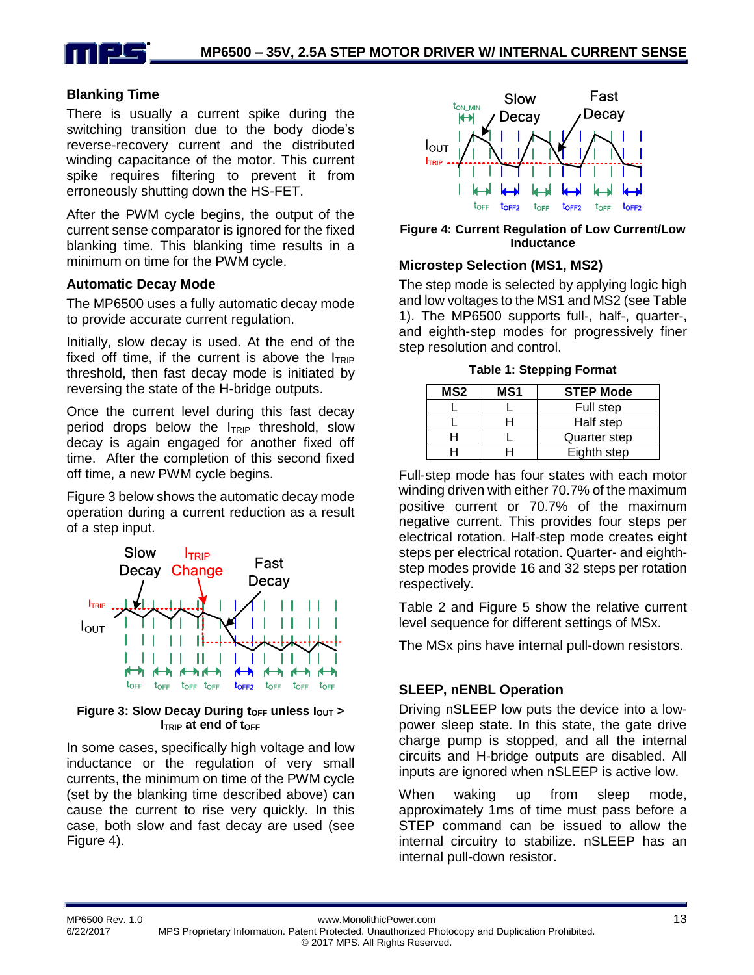

#### **Blanking Time**

There is usually a current spike during the switching transition due to the body diode's reverse-recovery current and the distributed winding capacitance of the motor. This current spike requires filtering to prevent it from erroneously shutting down the HS-FET.

After the PWM cycle begins, the output of the current sense comparator is ignored for the fixed blanking time. This blanking time results in a minimum on time for the PWM cycle.

#### **Automatic Decay Mode**

The MP6500 uses a fully automatic decay mode to provide accurate current regulation.

Initially, slow decay is used. At the end of the fixed off time, if the current is above the  $I_{TRIP}$ threshold, then fast decay mode is initiated by reversing the state of the H-bridge outputs.

Once the current level during this fast decay period drops below the  $I_{TRIP}$  threshold, slow decay is again engaged for another fixed off time. After the completion of this second fixed off time, a new PWM cycle begins.

Figure 3 below shows the automatic decay mode operation during a current reduction as a result of a step input.



#### 3: Slow Decay During  $t_{\text{OFF}}$  unless  $I_0$ t<sub>OFF</sub> t<sub>OFF</sub> t<sub>OFF</sub> t<sub>OFF</sub> t<sub>OFF</sub> t<sub>OFF</sub> t<sub>OFF</sub><br>Iow Decay During t<sub>OFF</sub> unless l<sub>OUT</sub><br>I<sub>TRIP</sub> at end of t<sub>OFF</sub> **Figure 3: Slow Decay During t<sub>OFF</sub> unless**  $I_{\text{OUT}}$  **> ITRIP** at end of toff

In some cases, specifically high voltage and low inductance or the regulation of very small currents, the minimum on time of the PWM cycle (set by the blanking time described above) can cause the current to rise very quickly. In this case, both slow and fast decay are used (see Figure 4).



 $\frac{1}{\sqrt{2}}$ tore tore tore tore tore to<br>rent Regulation of Low Cu<br>Inductance **Figure 4: Current Regulation of Low Current/Low Inductance**

#### **Microstep Selection (MS1, MS2)**

The step mode is selected by applying logic high and low voltages to the MS1 and MS2 (see Table 1). The MP6500 supports full-, half-, quarter-, and eighth-step modes for progressively finer step resolution and control.

**Table 1: Stepping Format**

| MS <sub>2</sub> | MS1<br><b>STEP Mode</b> |              |
|-----------------|-------------------------|--------------|
|                 |                         | Full step    |
|                 |                         | Half step    |
|                 |                         | Quarter step |
|                 |                         | Eighth step  |

Full-step mode has four states with each motor winding driven with either 70.7% of the maximum positive current or 70.7% of the maximum negative current. This provides four steps per electrical rotation. Half-step mode creates eight steps per electrical rotation. Quarter- and eighthstep modes provide 16 and 32 steps per rotation respectively.

Table 2 and Figure 5 show the relative current level sequence for different settings of MSx.

The MSx pins have internal pull-down resistors.

#### **SLEEP, nENBL Operation**

Driving nSLEEP low puts the device into a lowpower sleep state. In this state, the gate drive charge pump is stopped, and all the internal circuits and H-bridge outputs are disabled. All inputs are ignored when nSLEEP is active low.

When waking up from sleep mode, approximately 1ms of time must pass before a STEP command can be issued to allow the internal circuitry to stabilize. nSLEEP has an internal pull-down resistor.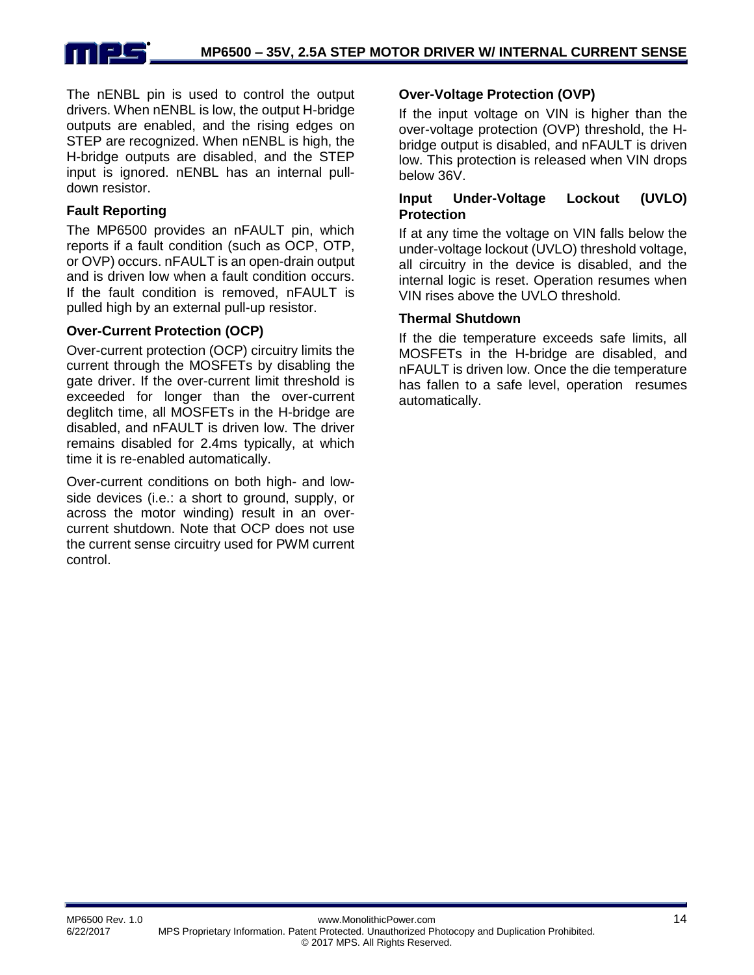

The nENBL pin is used to control the output drivers. When nENBL is low, the output H-bridge outputs are enabled, and the rising edges on STEP are recognized. When nENBL is high, the H-bridge outputs are disabled, and the STEP input is ignored. nENBL has an internal pulldown resistor.

#### **Fault Reporting**

The MP6500 provides an nFAULT pin, which reports if a fault condition (such as OCP, OTP, or OVP) occurs. nFAULT is an open-drain output and is driven low when a fault condition occurs. If the fault condition is removed, nFAULT is pulled high by an external pull-up resistor.

#### **Over-Current Protection (OCP)**

Over-current protection (OCP) circuitry limits the current through the MOSFETs by disabling the gate driver. If the over-current limit threshold is exceeded for longer than the over-current deglitch time, all MOSFETs in the H-bridge are disabled, and nFAULT is driven low. The driver remains disabled for 2.4ms typically, at which time it is re-enabled automatically.

Over-current conditions on both high- and lowside devices (i.e.: a short to ground, supply, or across the motor winding) result in an overcurrent shutdown. Note that OCP does not use the current sense circuitry used for PWM current control.

#### **Over-Voltage Protection (OVP)**

If the input voltage on VIN is higher than the over-voltage protection (OVP) threshold, the Hbridge output is disabled, and nFAULT is driven low. This protection is released when VIN drops below 36V.

#### **Input Under-Voltage Lockout (UVLO) Protection**

If at any time the voltage on VIN falls below the under-voltage lockout (UVLO) threshold voltage, all circuitry in the device is disabled, and the internal logic is reset. Operation resumes when VIN rises above the UVLO threshold.

#### **Thermal Shutdown**

If the die temperature exceeds safe limits, all MOSFETs in the H-bridge are disabled, and nFAULT is driven low. Once the die temperature has fallen to a safe level, operation resumes automatically.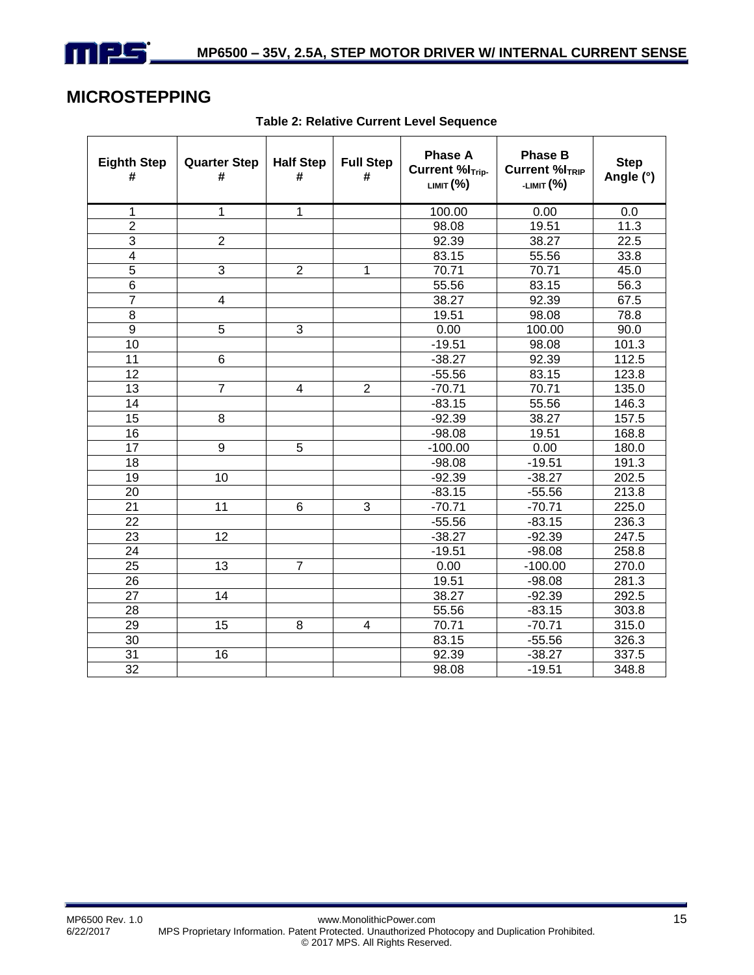

## **MICROSTEPPING**

| <b>Eighth Step</b><br># | <b>Quarter Step</b><br># | <b>Half Step</b><br># | <b>Full Step</b><br># | <b>Phase A</b><br><b>Current %I<sub>Trip-</sub></b><br>LIMIT (%) | <b>Phase B</b><br><b>Current %ITRIP</b><br>-LIMIT (%) | <b>Step</b><br>Angle (°) |
|-------------------------|--------------------------|-----------------------|-----------------------|------------------------------------------------------------------|-------------------------------------------------------|--------------------------|
| 1                       | $\mathbf{1}$             | 1                     |                       | 100.00                                                           | 0.00                                                  | 0.0                      |
| $\overline{2}$          |                          |                       |                       | 98.08                                                            | 19.51                                                 | 11.3                     |
| $\overline{3}$          | $\overline{2}$           |                       |                       | 92.39                                                            | 38.27                                                 | 22.5                     |
| $\overline{\mathbf{4}}$ |                          |                       |                       | 83.15                                                            | 55.56                                                 | 33.8                     |
| $\overline{5}$          | 3                        | $\overline{2}$        | 1                     | 70.71                                                            | 70.71                                                 | 45.0                     |
| 6                       |                          |                       |                       | 55.56                                                            | 83.15                                                 | 56.3                     |
| $\overline{7}$          | 4                        |                       |                       | 38.27                                                            | 92.39                                                 | 67.5                     |
| 8                       |                          |                       |                       | 19.51                                                            | 98.08                                                 | 78.8                     |
| 9                       | 5                        | 3                     |                       | 0.00                                                             | 100.00                                                | 90.0                     |
| 10                      |                          |                       |                       | $-19.51$                                                         | 98.08                                                 | 101.3                    |
| 11                      | 6                        |                       |                       | $-38.27$                                                         | 92.39                                                 | 112.5                    |
| 12                      |                          |                       |                       | $-55.56$                                                         | 83.15                                                 | 123.8                    |
| 13                      | $\overline{7}$           | 4                     | $\overline{2}$        | $-70.71$                                                         | 70.71                                                 | 135.0                    |
| 14                      |                          |                       |                       | $-83.15$                                                         | 55.56                                                 | 146.3                    |
| 15                      | 8                        |                       |                       | $-92.39$                                                         | 38.27                                                 | 157.5                    |
| 16                      |                          |                       |                       | $-98.08$                                                         | 19.51                                                 | 168.8                    |
| 17                      | 9                        | 5                     |                       | $-100.00$                                                        | 0.00                                                  | 180.0                    |
| 18                      |                          |                       |                       | $-98.08$                                                         | $-19.51$                                              | 191.3                    |
| 19                      | 10                       |                       |                       | $-92.39$                                                         | $-38.27$                                              | 202.5                    |
| 20                      |                          |                       |                       | $-83.15$                                                         | $-55.56$                                              | 213.8                    |
| $\overline{21}$         | 11                       | $6\phantom{1}6$       | 3                     | $-70.71$                                                         | $-70.71$                                              | 225.0                    |
| 22                      |                          |                       |                       | $-55.56$                                                         | $-83.15$                                              | 236.3                    |
| 23                      | 12                       |                       |                       | $-38.27$                                                         | $-92.39$                                              | 247.5                    |
| 24                      |                          |                       |                       | $-19.51$                                                         | $-98.08$                                              | 258.8                    |
| 25                      | 13                       | $\overline{7}$        |                       | 0.00                                                             | $-100.00$                                             | 270.0                    |
| 26                      |                          |                       |                       | 19.51                                                            | $-98.08$                                              | 281.3                    |
| 27                      | 14                       |                       |                       | 38.27                                                            | $-92.39$                                              | 292.5                    |
| 28                      |                          |                       |                       | 55.56                                                            | $-83.15$                                              | 303.8                    |
| 29                      | 15                       | 8                     | 4                     | 70.71                                                            | $-70.71$                                              | 315.0                    |
| 30                      |                          |                       |                       | 83.15                                                            | $-55.56$                                              | 326.3                    |
| 31                      | 16                       |                       |                       | 92.39                                                            | $-38.27$                                              | 337.5                    |
| 32                      |                          |                       |                       | 98.08                                                            | $-19.51$                                              | 348.8                    |

**Table 2: Relative Current Level Sequence**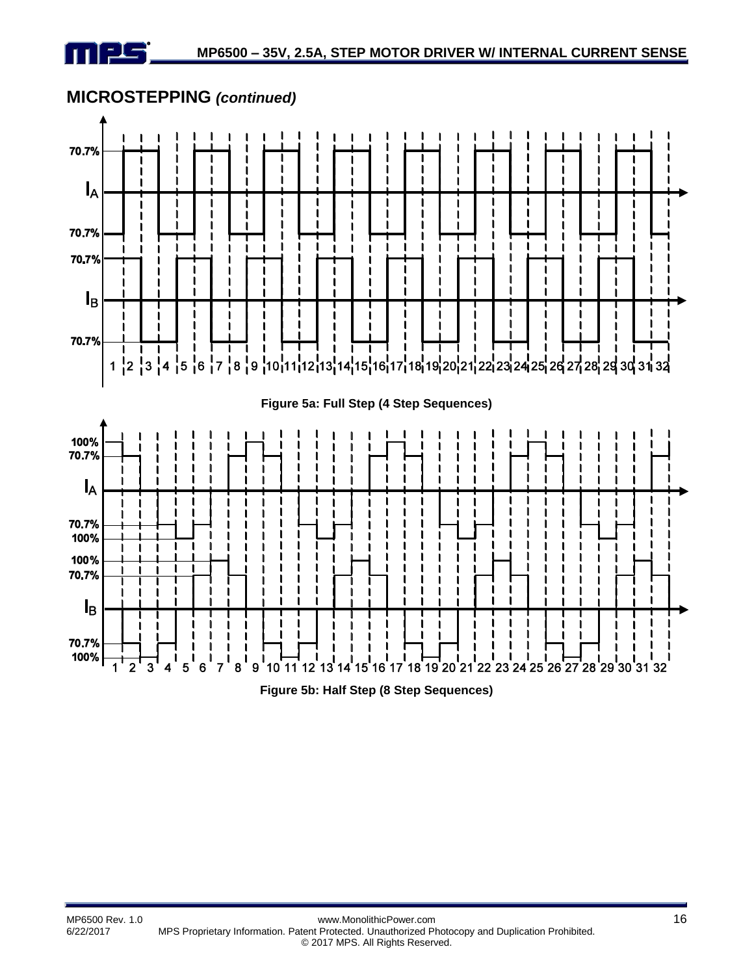



**Figure 5b: Half Step (8 Step Sequences)**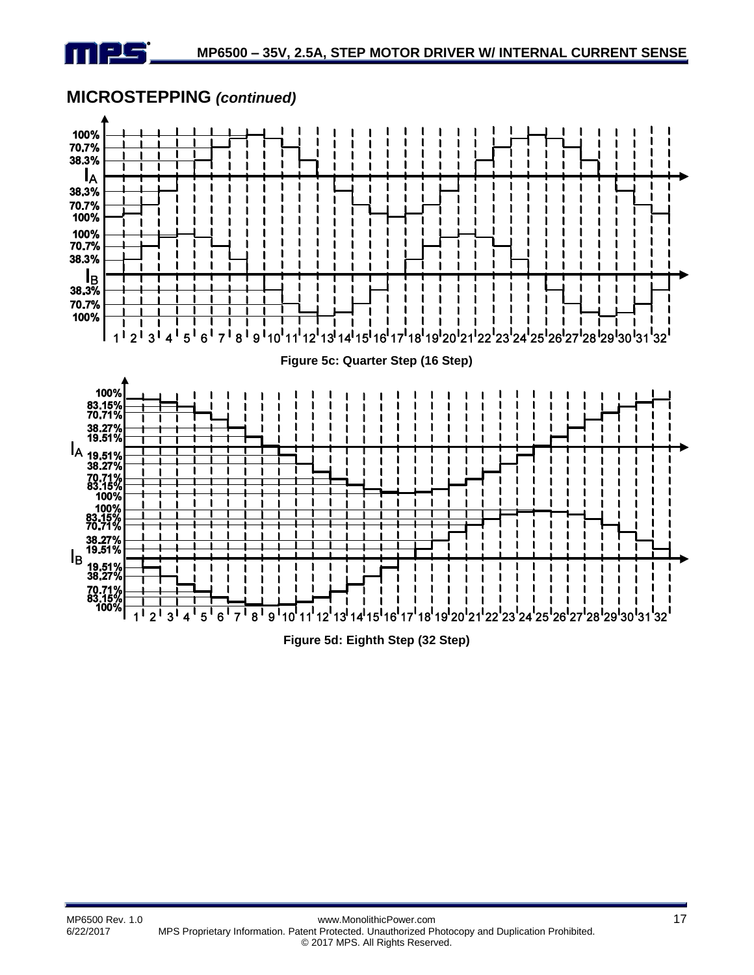





**Figure 5d: Eighth Step (32 Step)**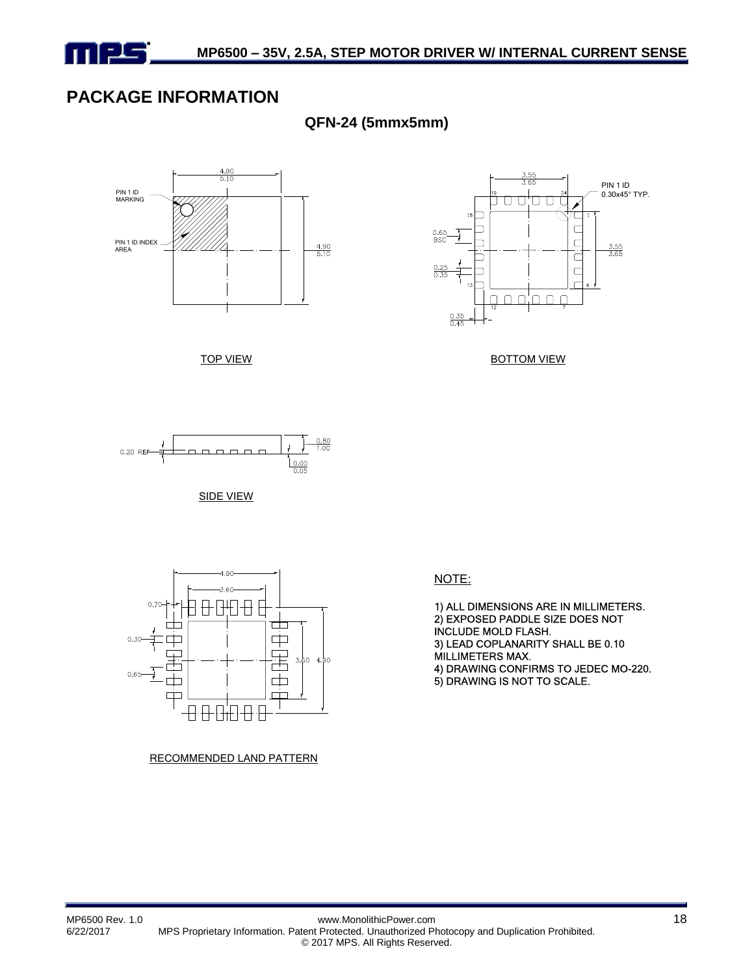

## **PACKAGE INFORMATION**

**QFN-24 (5mmx5mm)**







BOTTOM VIEW



SIDE VIEW



RECOMMENDED LAND PATTERN

NOTE:

1) ALL DIMENSIONS ARE IN MILLIMETERS. 2) EXPOSED PADDLE SIZE DOES NOT INCLUDE MOLD FLASH. 3) LEAD COPLANARITY SHALL BE 0.10 MILLIMETERS MAX. 4) DRAWING CONFIRMS TO JEDEC MO-220. 5) DRAWING IS NOT TO SCALE.